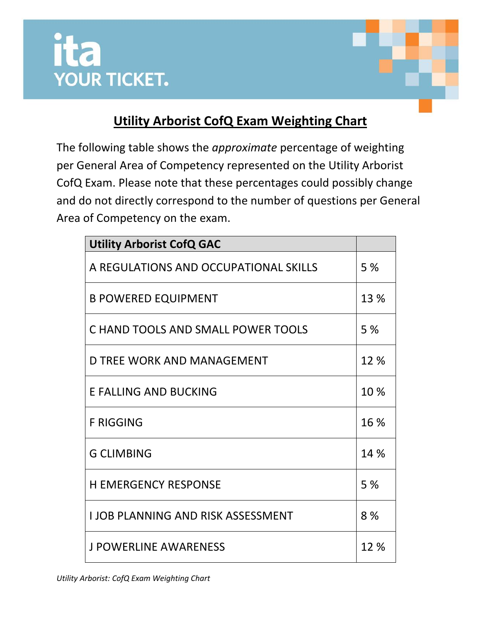



## **Utility Arborist CofQ Exam Weighting Chart**

The following table shows the *approximate* percentage of weighting per General Area of Competency represented on the Utility Arborist CofQ Exam. Please note that these percentages could possibly change and do not directly correspond to the number of questions per General Area of Competency on the exam.

| <b>Utility Arborist CofQ GAC</b>         |      |
|------------------------------------------|------|
| A REGULATIONS AND OCCUPATIONAL SKILLS    | 5%   |
| <b>B POWERED EQUIPMENT</b>               | 13 % |
| C HAND TOOLS AND SMALL POWER TOOLS       | 5 %  |
| D TREE WORK AND MANAGEMENT               | 12 % |
| <b>E FALLING AND BUCKING</b>             | 10 % |
| <b>F RIGGING</b>                         | 16 % |
| <b>G CLIMBING</b>                        | 14 % |
| <b>H EMERGENCY RESPONSE</b>              | 5%   |
| <b>LJOB PLANNING AND RISK ASSESSMENT</b> | 8%   |
| <b>J POWERLINE AWARENESS</b>             | 12 % |